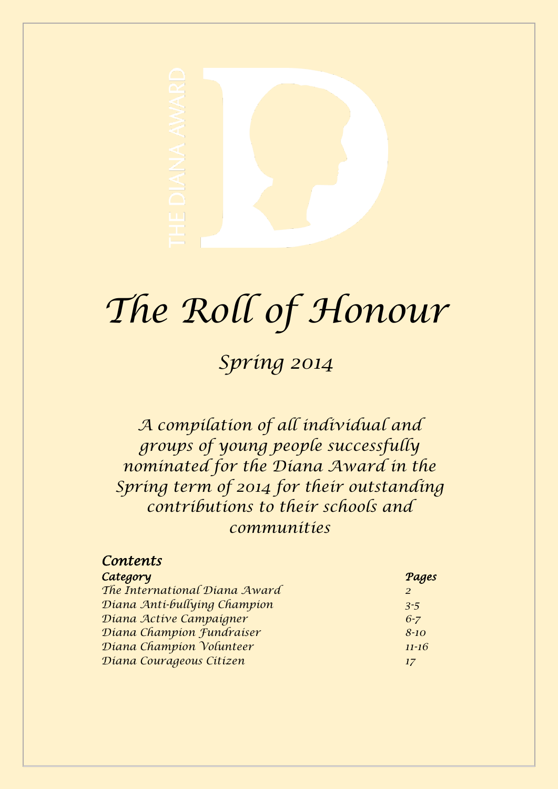

# *The Roll of Honour*

# *Spring 2014*

*A compilation of all individual and groups of young people successfully nominated for the Diana Award in the Spring term of 2014 for their outstanding contributions to their schools and communities*

| Pages     |
|-----------|
| 2         |
| $3 - 5$   |
| $6 - 7$   |
| $8 - 10$  |
| $11 - 16$ |
| 17        |
|           |

 *Contents*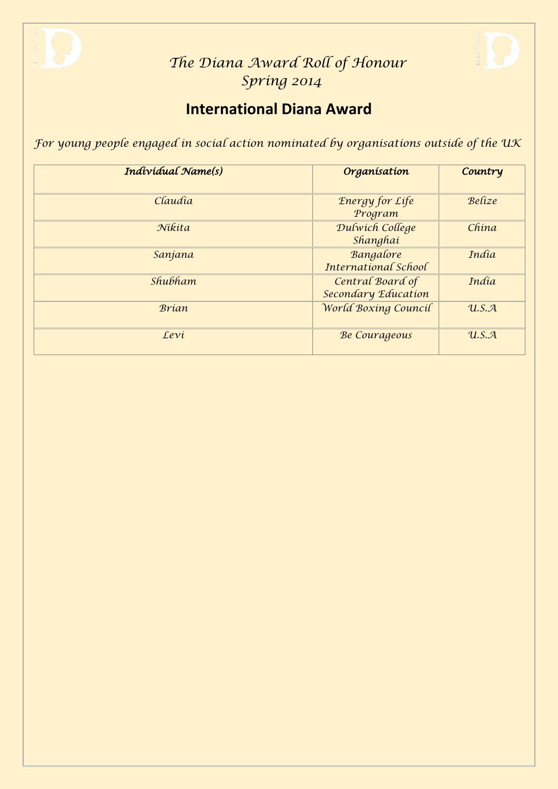

### **International Diana Award**

*For young people engaged in social action nominated by organisations outside of the UK*

| Individual Name(s)    | Organisation                            | Country |
|-----------------------|-----------------------------------------|---------|
| Claudia               | <b>Energy for Life</b><br>Program       | Belize  |
| Nikita                | Dulwich College<br>Shanghai             | China   |
| Sanjana               | Bangalore<br>International School       | India   |
| <i><b>Shubham</b></i> | Central Board of<br>Secondary Education | India   |
| <b>Brian</b>          | World Boxing Council                    | U.S.A   |
| Levi                  | <b>Be Courageous</b>                    | U.S.A   |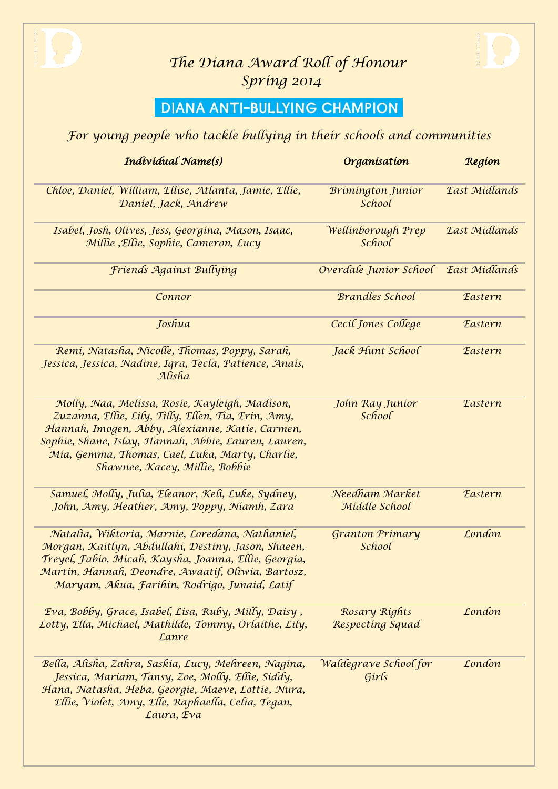



### **DIANA ANTI-BULLYING CHAMPION**

#### *For young people who tackle bullying in their schools and communities*

| Individual Name(s)                                                                                                                                                                                                                                                                                    | Organisation                       | Region                |
|-------------------------------------------------------------------------------------------------------------------------------------------------------------------------------------------------------------------------------------------------------------------------------------------------------|------------------------------------|-----------------------|
| Chloe, Daniel, William, Ellise, Atlanta, Jamie, Ellie,<br>Daniel, Jack, Andrew                                                                                                                                                                                                                        | <b>Brimington Junior</b><br>School | East Midlands         |
| Isabel, Josh, Olives, Jess, Georgina, Mason, Isaac,<br>Millie, Ellie, Sophie, Cameron, Lucy                                                                                                                                                                                                           | Wellinborough Prep<br>School       | East Midlands         |
| Friends Against Bullying                                                                                                                                                                                                                                                                              | Overdale Junior School             | East Midlands         |
| Connor                                                                                                                                                                                                                                                                                                | <b>Brandles School</b>             | <b><i>Eastern</i></b> |
| Joshua                                                                                                                                                                                                                                                                                                | Cecil Jones College                | <b><i>Eastern</i></b> |
| Remi, Natasha, Nicolle, Thomas, Poppy, Sarah,<br>Jessica, Jessica, Nadine, Iqra, Tecla, Patience, Anais,<br>Alísha                                                                                                                                                                                    | Jack Hunt School                   | <b><i>Eastern</i></b> |
| Molly, Naa, Melissa, Rosie, Kayleigh, Madison,<br>Zuzanna, Ellie, Lily, Tilly, Ellen, Tia, Erin, Amy,<br>Hannah, Imogen, Abby, Alexianne, Katie, Carmen,<br>Sophie, Shane, Islay, Hannah, Abbie, Lauren, Lauren,<br>Mía, Gemma, Thomas, Cael, Luka, Marty, Charlie,<br>Shawnee, Kacey, Millie, Bobbie | John Ray Junior<br>School          | <b><i>Eastern</i></b> |
| Samuel, Molly, Julia, Eleanor, Keli, Luke, Sydney,<br>John, Amy, Heather, Amy, Poppy, Niamh, Zara                                                                                                                                                                                                     | Needham Market<br>Middle School    | <b><i>Eastern</i></b> |
| Natalia, Wiktoria, Marnie, Loredana, Nathaniel,<br>Morgan, Kaitlyn, Abdullahi, Destiny, Jason, Shaeen,<br>Treyel, Fabio, Micah, Kaysha, Joanna, Ellie, Georgia,<br>Martin, Hannah, Deondre, Awaatif, Oliwia, Bartosz,<br>Maryam, Akua, Farihin, Rodrigo, Junaid, Latif                                | <b>Granton Primary</b><br>School   | London                |
| Eva, Bobby, Grace, Isabel, Lisa, Ruby, Milly, Daisy,<br>Lotty, Ella, Michael, Mathilde, Tommy, Orlaithe, Lily,<br>Lanre                                                                                                                                                                               | Rosary Rights<br>Respecting Squad  | London                |
| Bella, Alisha, Zahra, Saskia, Lucy, Mehreen, Nagina,<br>Jessica, Mariam, Tansy, Zoe, Molly, Ellie, Siddy,<br>Hana, Natasha, Heba, Georgie, Maeve, Lottie, Nura,<br>Ellie, Violet, Amy, Elle, Raphaella, Celia, Tegan,<br>Laura, Eva                                                                   | Waldegrave School for<br>Girls     | London                |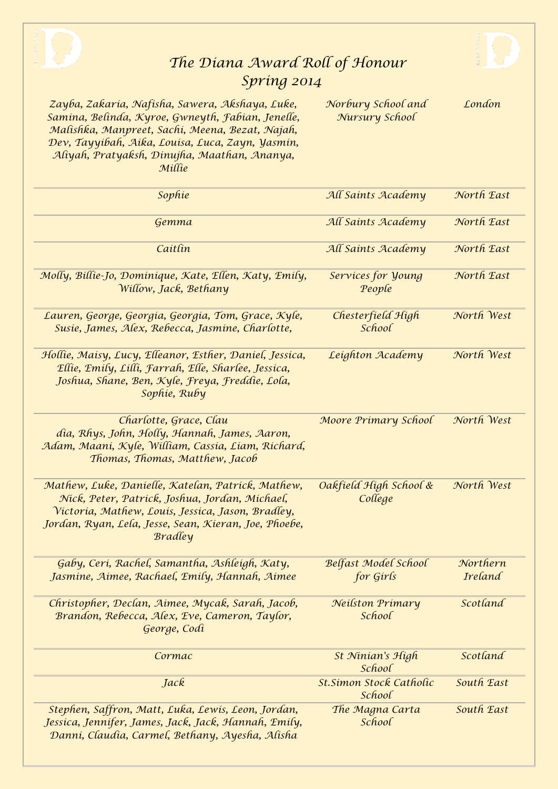



*Zayba, Zakaria, Nafisha, Sawera, Akshaya, Luke, Samina, Belinda, Kyroe, Gwneyth, Fabian, Jenelle, Malishka, Manpreet, Sachi, Meena, Bezat, Najah, Dev, Tayyibah, Aika, Louisa, Luca, Zayn, Yasmin, Aliyah, Pratyaksh, Dinujha, Maathan, Ananya,* 

*Norbury School and Nursury School*

*London*

| Millie                                                                                                                                                                                                                              |                                     |                            |
|-------------------------------------------------------------------------------------------------------------------------------------------------------------------------------------------------------------------------------------|-------------------------------------|----------------------------|
| Sophie                                                                                                                                                                                                                              | All Saints Academy                  | North East                 |
| Gemma                                                                                                                                                                                                                               | All Saints Academy                  | North East                 |
| Caitlin                                                                                                                                                                                                                             | All Saints Academy                  | North East                 |
| Molly, Billie-Jo, Dominique, Kate, Ellen, Katy, Emily,<br>Willow, Jack, Bethany                                                                                                                                                     | Services for <i>young</i><br>People | North East                 |
| Lauren, George, Georgía, Georgía, Tom, Grace, Kyle,<br>Susie, James, Alex, Rebecca, Jasmine, Charlotte,                                                                                                                             | Chesterfield High<br>School         | North West                 |
| Hollie, Maisy, Lucy, Elleanor, Esther, Daniel, Jessica,<br>Ellie, Emily, Lilli, Farrah, Elle, Sharlee, Jessica,<br>Joshua, Shane, Ben, Kyle, Freya, Freddie, Lola,<br>Sophie, Ruby                                                  | Leighton Academy                    | North West                 |
| Charlotte, Grace, Clau<br>dia, Rhys, John, Holly, Hannah, James, Aaron,<br>Adam, Maani, Kyle, William, Cassia, Liam, Richard,<br>Thomas, Thomas, Matthew, Jacob                                                                     | Moore Primary School                | North West                 |
| Mathew, Luke, Danielle, Katelan, Patrick, Mathew,<br>Níck, Peter, Patrick, Joshua, Jordan, Michael,<br>Victoria, Mathew, Louis, Jessica, Jason, Bradley,<br>Jordan, Ryan, Lela, Jesse, Sean, Kieran, Joe, Phoebe,<br><b>Bradley</b> | Oakfield High School &<br>College   | North West                 |
| Gaby, Ceri, Rachel, Samantha, Ashleigh, Katy,<br>Jasmine, Aimee, Rachael, Emily, Hannah, Aimee                                                                                                                                      | Belfast Model School<br>for Girls   | Northern<br><b>Ireland</b> |
| Christopher, Declan, Aimee, Mycak, Sarah, Jacob,<br>Brandon, Rebecca, Alex, Eve, Cameron, Taylor,<br>George, Codi                                                                                                                   | Neilston Primary<br>School          | Scotland                   |
| Cormac                                                                                                                                                                                                                              | St Ninian's High<br>School          | Scotland                   |
| Jack                                                                                                                                                                                                                                | St.Simon Stock Catholic<br>School   | South East                 |
| Stephen, Saffron, Matt, Luka, Lewis, Leon, Jordan,<br>Jessica, Jennifer, James, Jack, Jack, Hannah, Emily,<br>Danni, Claudia, Carmel, Bethany, Ayesha, Alisha                                                                       | The Magna Carta<br>School           | South East                 |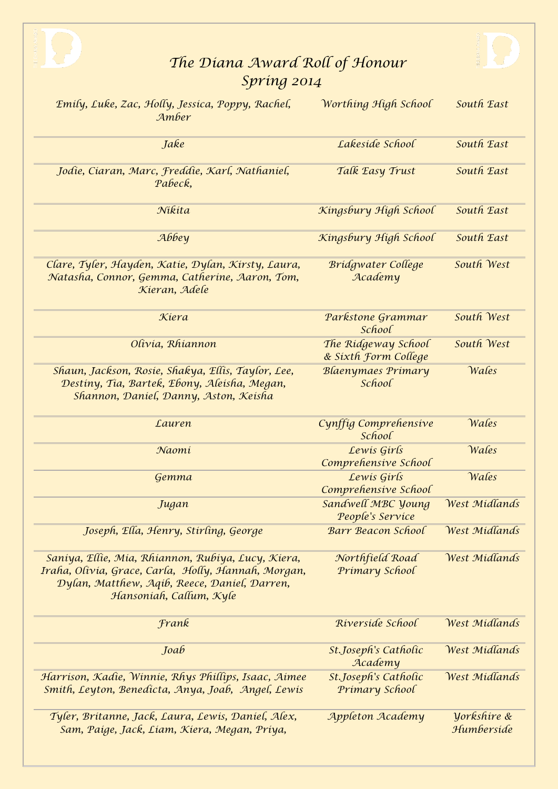



| Emily, Luke, Zac, Holly, Jessica, Poppy, Rachel,<br>Amber                                                                                                                            | Worthing High School                        | South East                |
|--------------------------------------------------------------------------------------------------------------------------------------------------------------------------------------|---------------------------------------------|---------------------------|
| Jake                                                                                                                                                                                 | Lakeside School                             | South East                |
| Jodie, Ciaran, Marc, Freddie, Karl, Nathaniel,<br>Pabeck,                                                                                                                            | Talk Easy Trust                             | South East                |
| Nikita                                                                                                                                                                               | Kingsbury High School                       | South East                |
| Аббеу                                                                                                                                                                                | Kingsbury High School                       | South East                |
| Clare, Tyler, Hayden, Katie, Dylan, Kirsty, Laura,<br>Natasha, Connor, Gemma, Catherine, Aaron, Tom,<br>Kieran, Adele                                                                | <b>Bridgwater College</b><br>Academy        | South West                |
| Kiera                                                                                                                                                                                | Parkstone Grammar<br>School                 | South West                |
| Olívía, Rhiannon                                                                                                                                                                     | The Ridgeway School<br>& Sixth Form College | South West                |
| Shaun, Jackson, Rosie, Shakya, Ellis, Taylor, Lee,<br>Destiny, Tia, Bartek, Ebony, Aleisha, Megan,<br>Shannon, Daniel, Danny, Aston, Keisha                                          | <b>Blaenymaes Primary</b><br>School         | Wales                     |
| Lauren                                                                                                                                                                               | Cynffig Comprehensive<br>School             | Wales                     |
| Naomi                                                                                                                                                                                | Lewis Girls<br>Comprehensive School         | Wales                     |
| Gemma                                                                                                                                                                                | Lewis Girls<br>Comprehensive School         | Wales                     |
| Jugan                                                                                                                                                                                | Sandwell MBC Young<br>People's Service      | West Midlands             |
| Joseph, Ella, Henry, Stirling, George                                                                                                                                                | <b>Barr Beacon School</b>                   | West Midlands             |
| Saniya, Ellie, Mia, Rhiannon, Rubiya, Lucy, Kiera,<br>Iraha, Olivia, Grace, Carla, Holly, Hannah, Morgan,<br>Dylan, Matthew, Aqib, Reece, Daniel, Darren,<br>Hansoniah, Callum, Kyle | Northfield Road<br>Primary School           | West Midlands             |
| Frank                                                                                                                                                                                | Riverside School                            | West Midlands             |
| Joab                                                                                                                                                                                 | St.Joseph's Catholic<br>Academy             | West Midlands             |
| Harrison, Kadie, Winnie, Rhys Phillips, Isaac, Aimee<br>Smith, Leyton, Benedicta, Anya, Joab, Angel, Lewis                                                                           | St.Joseph's Catholic<br>Primary School      | West Midlands             |
| Tyler, Britanne, Jack, Laura, Lewis, Daniel, Alex,<br>Sam, Paige, Jack, Liam, Kiera, Megan,  Priya,                                                                                  | Appleton Academy                            | Vorkshire &<br>Humberside |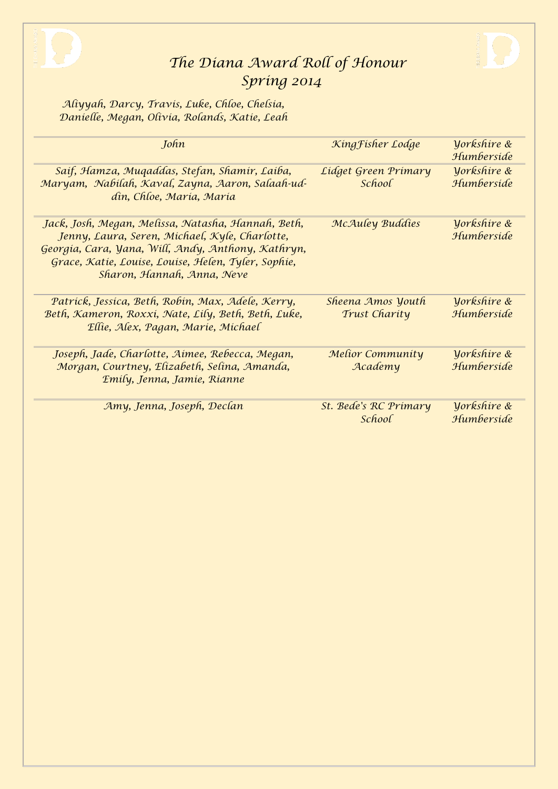

*Aliyyah, Darcy, Travis, Luke, Chloe, Chelsia, Danielle, Megan, Olivia, Rolands, Katie, Leah*

| John                                                                                                                                                                                                                                            | King Fisher Lodge                     | Vorkshire &<br>Humberside |
|-------------------------------------------------------------------------------------------------------------------------------------------------------------------------------------------------------------------------------------------------|---------------------------------------|---------------------------|
| Saif, Hamza, Muqaddas, Stefan, Shamir, Laiba,<br>Maryam, Nabilah, Kaval, Zayna, Aaron, Salaah-ud-<br>din, Chloe, Maria, Maria                                                                                                                   | Lidget Green Primary<br><i>School</i> | Vorkshire &<br>Humberside |
| Jack, Josh, Megan, Melissa, Natasha, Hannah, Beth,<br>Jenny, Laura, Seren, Michael, Kyle, Charlotte,<br>Georgia, Cara, Yana, Will, Andy, Anthony, Kathryn,<br>Grace, Katie, Louise, Louise, Helen, Tyler, Sophie,<br>Sharon, Hannah, Anna, Neve | McAuley Buddies                       | Vorkshire &<br>Humberside |
| Patrick, Jessica, Beth, Robin, Max, Adele, Kerry,<br>Beth, Kameron, Roxxi, Nate, Lily, Beth, Beth, Luke,<br>Ellie, Alex, Pagan, Marie, Michael                                                                                                  | Sheena Amos Youth<br>Trust Charity    | Vorkshire &<br>Humberside |
| Joseph, Jade, Charlotte, Aimee, Rebecca, Megan,<br>Morgan, Courtney, Elizabeth, Selina, Amanda,<br>Emily, Jenna, Jamie, Rianne                                                                                                                  | Melior Community<br>Academy           | Yorkshire &<br>Humberside |
| Amy, Jenna, Joseph, Declan                                                                                                                                                                                                                      | St. Bede's RC Primary<br>School       | Vorkshire &<br>Humberside |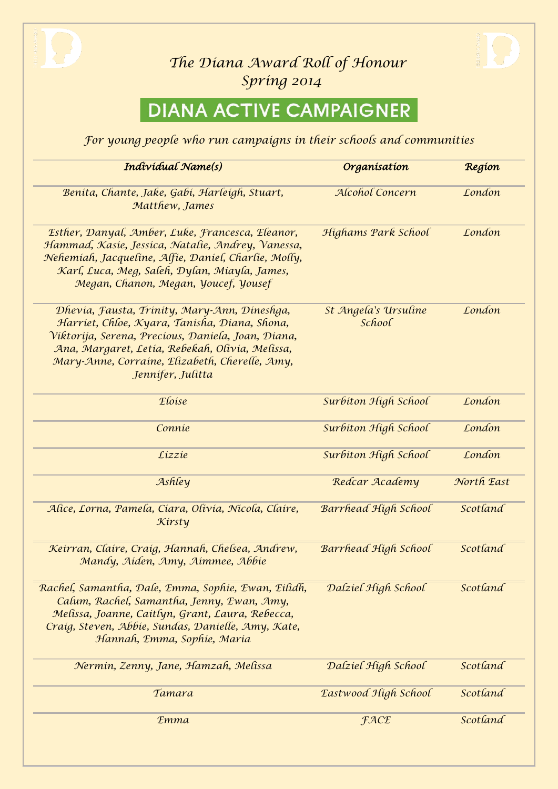



# **DIANA ACTIVE CAMPAIGNER**

*For young people who run campaigns in their schools and communities*

| Individual Name(s)                                                                                                                                                                                                                                                            | Organisation                   | Region     |
|-------------------------------------------------------------------------------------------------------------------------------------------------------------------------------------------------------------------------------------------------------------------------------|--------------------------------|------------|
| Benita, Chante, Jake, Gabi, Harleigh, Stuart,<br>Matthew, James                                                                                                                                                                                                               | Alcohol Concern                | London     |
| Esther, Danyal, Amber, Luke, Francesca, Eleanor,<br>Hammad, Kasie, Jessica, Natalie, Andrey, Vanessa,<br>Nehemiah, Jacqueline, Alfie, Daniel, Charlie, Molly,<br>Karl, Luca, Meg, Saleh, Dylan, Miayla, James,<br>Megan, Chanon, Megan, Youcef, Yousef                        | Highams Park School            | London     |
| Dhevia, Fausta, Trinity, Mary-Ann, Dineshga,<br>Harriet, Chloe, Kyara, Tanisha, Diana, Shona,<br>Viktorija, Serena, Precious, Daniela, Joan, Diana,<br>Ana, Margaret, Letía, Rebekah, Olivía, Melissa,<br>Mary-Anne, Corraine, Elizabeth, Cherelle, Amy,<br>Jennifer, Julitta | St Angela's Ursuline<br>School | London     |
| Eloise                                                                                                                                                                                                                                                                        | Surbiton High School           | London     |
| Connie                                                                                                                                                                                                                                                                        | Surbiton High School           | London     |
| Lizzie                                                                                                                                                                                                                                                                        | Surbiton High School           | London     |
| Ashley                                                                                                                                                                                                                                                                        | Redcar Academy                 | North East |
| Alice, Lorna, Pamela, Ciara, Olivia, Nicola, Claire,<br>Kirsty                                                                                                                                                                                                                | Barrhead High School           | Scotland   |
| Keirran, Claire, Craig, Hannah, Chelsea, Andrew,<br>Mandy, Aiden, Amy, Aimmee, Abbie                                                                                                                                                                                          | Barrhead High School           | Scotland   |
| Rachel, Samantha, Dale, Emma, Sophie, Ewan, Eilidh,<br>Calum, Rachel, Samantha, Jenny, Ewan, Amy,<br>Melissa, Joanne, Caitlyn, Grant, Laura, Rebecca,<br>Craig, Steven, Abbie, Sundas, Danielle, Amy, Kate,<br>Hannah, Emma, Sophie, Maria                                    | Dalziel High School            | Scotland   |
| Nermin, Zenny, Jane, Hamzah, Melissa                                                                                                                                                                                                                                          | Dalziel High School            | Scotland   |
| Tamara                                                                                                                                                                                                                                                                        | Eastwood High School           | Scotland   |
| <b>Emma</b>                                                                                                                                                                                                                                                                   | <b>FACE</b>                    | Scotland   |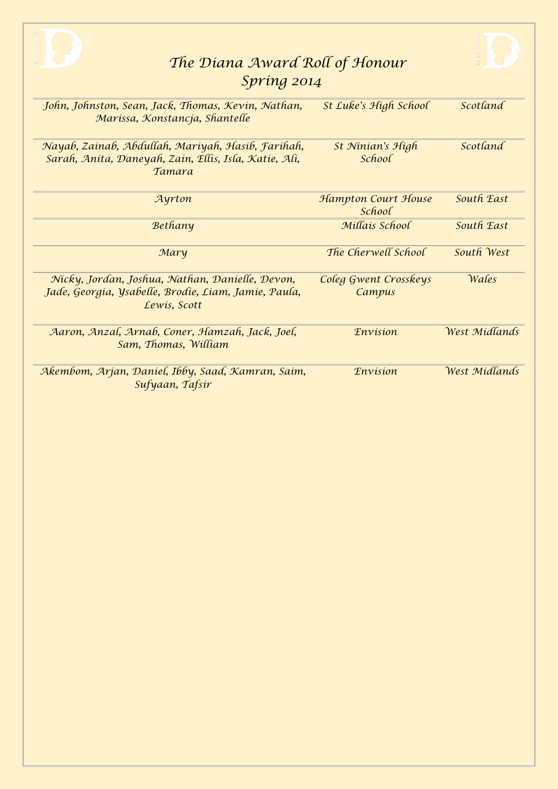| The Diana Award Roll of Honour                                                                                              |                                   |               |
|-----------------------------------------------------------------------------------------------------------------------------|-----------------------------------|---------------|
| Spring 2014                                                                                                                 |                                   |               |
| John, Johnston, Sean, Jack, Thomas, Kevin, Nathan,<br>Marissa, Konstancja, Shantelle                                        | St Luke's High School             | Scotland      |
| Nayab, Zainab, Abdullah, Mariyah, Hasib, Farihah,<br>Sarah, Anita, Daneyah, Zain, Ellis, Isla, Katie, Ali,<br><i>Tamara</i> | St Ninian's High<br><i>School</i> | Scotland      |
| Ayrton                                                                                                                      | Hampton Court House<br>School     | South East    |
| Bethany                                                                                                                     | Millais School                    | South East    |
| Mary                                                                                                                        | The Cherwell School               | South West    |
| Nicky, Jordan, Joshua, Nathan, Danielle, Devon,<br>Jade, Georgia, Ysabelle, Brodie, Liam, Jamie, Paula,<br>Lewis, Scott     | Coleg Gwent Crosskeys<br>Campus   | Wales         |
| Aaron, Anzal, Arnab, Coner, Hamzah, Jack, Joel,<br>Sam, Thomas, William                                                     | <b><i>Envision</i></b>            | West Midlands |
| Akembom, Arjan, Daniel, Ibby, Saad, Kamran, Saim,<br>Sufyaan, Tafsir                                                        | <b><i>Envision</i></b>            | West Midlands |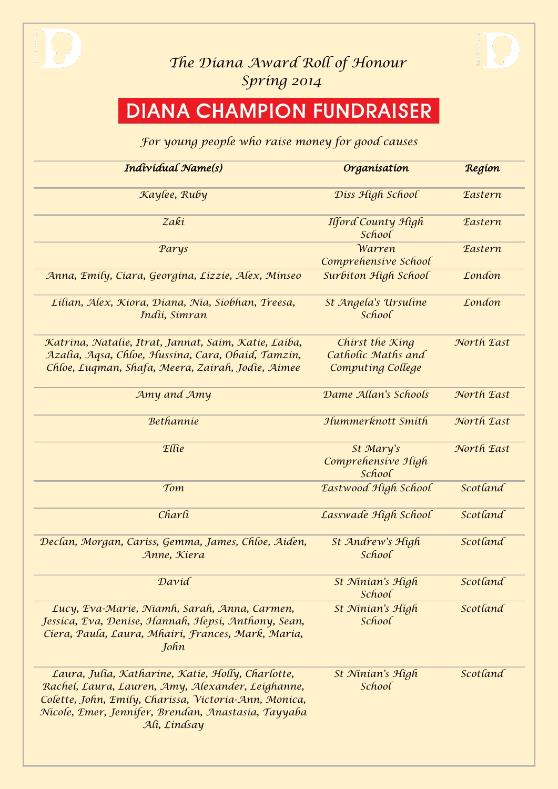



# **DIANA CHAMPION FUNDRAISER**

#### *For young people who raise money for good causes*

| Individual Name(s)                                                                                                                                                                                                                     | Organisation                                               | Region                |
|----------------------------------------------------------------------------------------------------------------------------------------------------------------------------------------------------------------------------------------|------------------------------------------------------------|-----------------------|
| Kaylee, Ruby                                                                                                                                                                                                                           | Diss High School                                           | <b>Eastern</b>        |
| Zakí                                                                                                                                                                                                                                   | Ilford County High<br>School                               | <b>Eastern</b>        |
| Parys                                                                                                                                                                                                                                  | <i>Warren</i><br>Comprehensive School                      | <b><i>Eastern</i></b> |
| Anna, Emily, Ciara, Georgina, Lizzie, Alex, Minseo                                                                                                                                                                                     | Surbiton High School                                       | London                |
| Lilian, Alex, Kiora, Diana, Nia, Siobhan, Treesa,<br>Indii, Simran                                                                                                                                                                     | St Angela's Ursuline<br>School                             | London                |
| Katrina, Natalie, Itrat, Jannat, Saim, Katie, Laiba,<br>Azalia, Aqsa, Chloe, Hussina, Cara, Obaid, Tamzin,<br>Chloe, Luqman, Shafa, Meera, Zairah, Jodie, Aimee                                                                        | Chirst the King<br>Catholic Maths and<br>Computing College | North East            |
| Amy and Amy                                                                                                                                                                                                                            | Dame Allan's Schools                                       | North East            |
| <b>Bethannie</b>                                                                                                                                                                                                                       | Hummerknott Smith                                          | North East            |
| Ellie                                                                                                                                                                                                                                  | St Mary's<br>Comprehensive High<br>School                  | North East            |
| Tom                                                                                                                                                                                                                                    | Eastwood High School                                       | Scotland              |
| Charli                                                                                                                                                                                                                                 | Lasswade High School                                       | Scotland              |
| Declan, Morgan, Cariss, Gemma, James, Chloe, Aiden,<br>Anne, Kiera                                                                                                                                                                     | St Andrew's High<br>School                                 | Scotland              |
| David                                                                                                                                                                                                                                  | St Ninian's High<br>School                                 | Scotland              |
| Lucy, Eva-Marie, Niamh, Sarah, Anna, Carmen,<br>Jessica, Eva, Denise, Hannah, Hepsi, Anthony, Sean,<br>Ciera, Paula, Laura, Mhairi, Frances, Mark, Maria,<br>John                                                                      | St Ninian's High<br>School                                 | Scotland              |
| Laura, Julia, Katharine, Katie, Holly, Charlotte,<br>Rachel, Laura, Lauren, Amy, Alexander, Leighanne,<br>Colette, John, Emily, Charissa, Victoria-Ann, Monica,<br>Nicole, Emer, Jennifer, Brendan, Anastasia, Tayyaba<br>Ali, Lindsay | St Ninian's High<br>School                                 | Scotland              |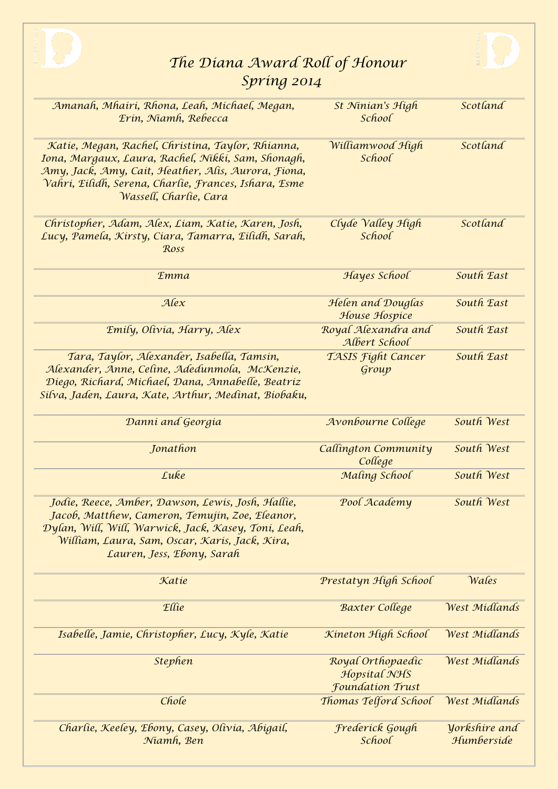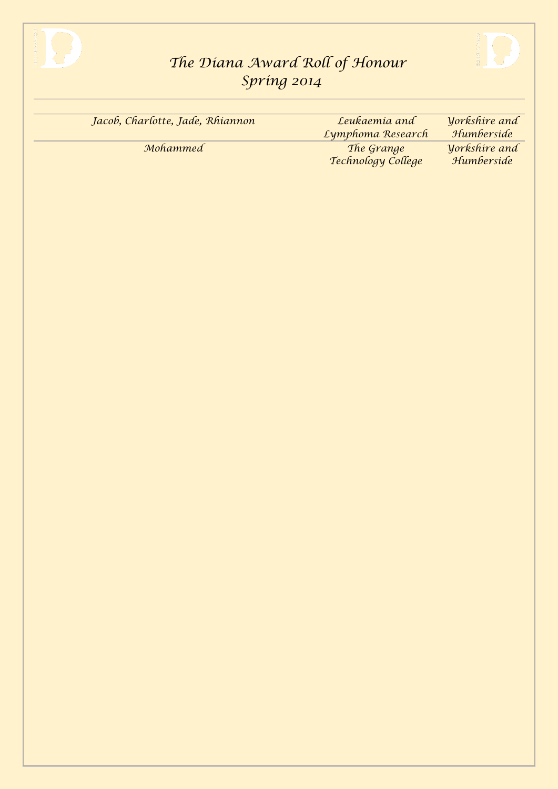



| Jacob, Charlotte, Jade, Rhiannon | Leukaemia and                    | Vorkshire and                      |
|----------------------------------|----------------------------------|------------------------------------|
|                                  | Lymphoma Research                | Humberside                         |
| Mohammed                         | The Grange<br>Technology College | <b>Yorkshire</b> and<br>Humberside |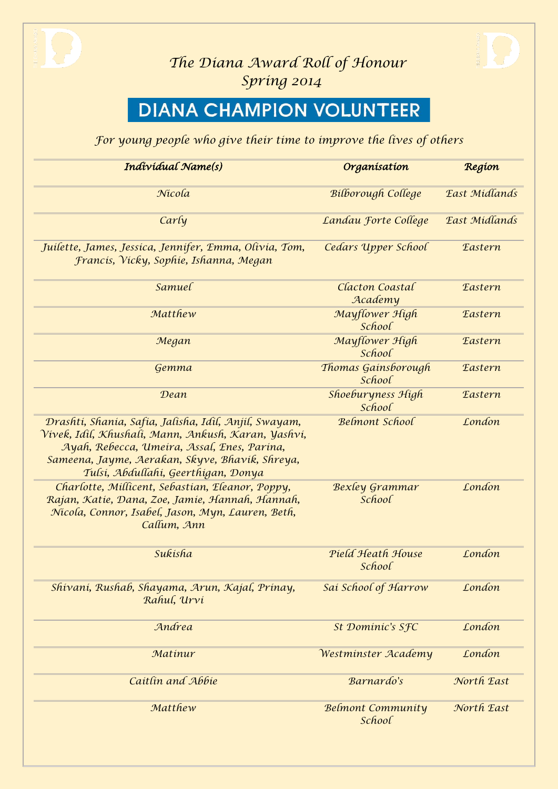

# **DIANA CHAMPION VOLUNTEER**

*For young people who give their time to improve the lives of others*

| Individual Name(s)                                                                                                                                                                                                                                           | Organisation                       | Region         |
|--------------------------------------------------------------------------------------------------------------------------------------------------------------------------------------------------------------------------------------------------------------|------------------------------------|----------------|
| Nicola                                                                                                                                                                                                                                                       | <b>Bilborough College</b>          | East Midlands  |
| Carly                                                                                                                                                                                                                                                        | Landau Forte College               | East Midlands  |
| Juilette, James, Jessica, Jennifer, Emma, Olivia, Tom,<br>Francis, Vicky, Sophie, Ishanna, Megan                                                                                                                                                             | Cedars Upper School                | <b>Eastern</b> |
| Samuel                                                                                                                                                                                                                                                       | Clacton Coastal<br>Academy         | <b>Eastern</b> |
| Matthew                                                                                                                                                                                                                                                      | Mayflower High<br>School           | <b>Eastern</b> |
| Megan                                                                                                                                                                                                                                                        | Mayflower High<br>School           | <b>Eastern</b> |
| Gemma                                                                                                                                                                                                                                                        | Thomas Gainsborough<br>School      | <b>Eastern</b> |
| Dean                                                                                                                                                                                                                                                         | Shoeburyness High<br>School        | <b>Eastern</b> |
| Drashti, Shania, Safia, Jalisha, Idil, Anjil, Swayam,<br><u>Vivek, Idil, Khushali, Mann, Ankush, Karan, Yashvi,</u><br>Ayah, Rebecca, Umeira, Assal, Enes, Parina,<br>Sameena, Jayme, Aerakan, Skyve, Bhavik, Shreya,<br>Tulsi, Abdullahi, Geerthigan, Donya | <b>Belmont School</b>              | London         |
| Charlotte, Millicent, Sebastian, Eleanor, Poppy,<br>Rajan, Katie, Dana, Zoe, Jamie, Hannah, Hannah,<br>Nicola, Connor, Isabel, Jason, Myn, Lauren, Beth,<br>Callum, Ann                                                                                      | <b>Bexley Grammar</b><br>School    | London         |
| Sukisha                                                                                                                                                                                                                                                      | Pield Heath House<br>School        | London         |
| Shivani, Rushab, Shayama, Arun, Kajal, Prinay,<br>Rahul, Urvi                                                                                                                                                                                                | Sai School of Harrow               | London         |
| Andrea                                                                                                                                                                                                                                                       | St Dominic's SFC                   | London         |
| Matinur                                                                                                                                                                                                                                                      | Westminster Academy                | London         |
| Caitlin and Abbie                                                                                                                                                                                                                                            | Barnardo's                         | North East     |
| Matthew                                                                                                                                                                                                                                                      | <b>Belmont Community</b><br>School | North East     |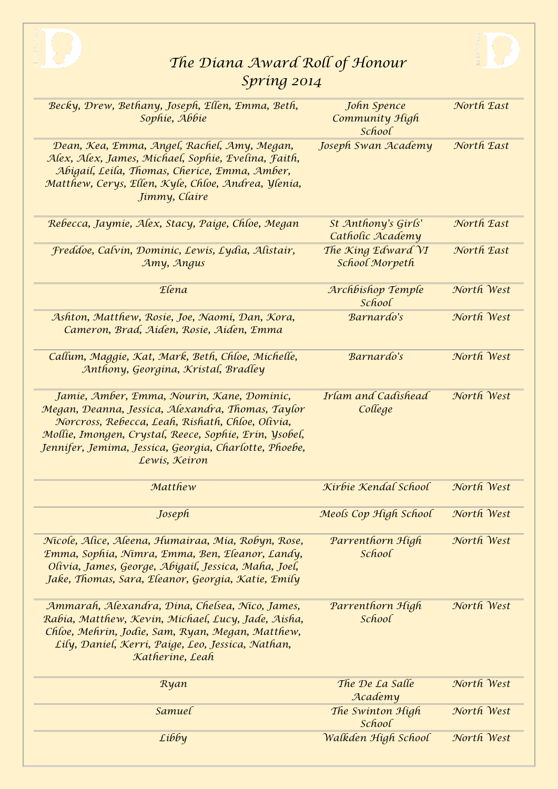



| Becky, Drew, Bethany, Joseph, Ellen, Emma, Beth,<br>Sophie, Abbie                                                                                                                                                                                                                        | John Spence<br>Community High<br>School | North East |
|------------------------------------------------------------------------------------------------------------------------------------------------------------------------------------------------------------------------------------------------------------------------------------------|-----------------------------------------|------------|
| Dean, Kea, Emma, Angel, Rachel, Amy, Megan,<br>Alex, Alex, James, Michael, Sophie, Evelina, Faith,<br>Abigail, Leila, Thomas, Cherice, Emma, Amber,<br>Matthew, Cerys, Ellen, Kyle, Chloe, Andrea, Ylenia,<br>Jimmy, Claire                                                              | Joseph Swan Academy                     | North East |
| Rebecca, Jaymie, Alex, Stacy, Paige, Chloe, Megan                                                                                                                                                                                                                                        | St Anthony's Girls'<br>Catholic Academy | North East |
| Freddoe, Calvin, Dominic, Lewis, Lydia, Alistair,<br>Amy, Angus                                                                                                                                                                                                                          | The King Edward VI<br>School Morpeth    | North East |
| Elena                                                                                                                                                                                                                                                                                    | Archbishop Temple<br>School             | North West |
| Ashton, Matthew, Rosie, Joe, Naomi, Dan, Kora,<br>Cameron, Brad, Aiden, Rosie, Aiden, Emma                                                                                                                                                                                               | Barnardo's                              | North West |
| Callum, Maggie, Kat, Mark, Beth, Chloe, Michelle,<br>Anthony, Georgina, Kristal, Bradley                                                                                                                                                                                                 | Barnardo's                              | North West |
| Jamie, Amber, Emma, Nourin, Kane, Dominic,<br>Megan, Deanna, Jessica, Alexandra, Thomas, Taylor<br>Norcross, Rebecca, Leah, Rishath, Chloe, Olivia,<br>Mollie, Imongen, Crystal, Reece, Sophie, Erin, Ysobel,<br>Jennifer, Jemima, Jessica, Georgia, Charlotte, Phoebe,<br>Lewis, Keiron | Irlam and Cadishead<br>College          | North West |
| Matthew                                                                                                                                                                                                                                                                                  | Kirbie Kendal School                    | North West |
| Joseph                                                                                                                                                                                                                                                                                   | Meols Cop High School                   | North West |
| Nicole, Alice, Aleena, Humairaa, Mia, Robyn, Rose,<br>Emma, Sophia, Nimra, Emma, Ben, Eleanor, Landy,<br>Olivia, James, George, Abigail, Jessica, Maha, Joel,<br>Jake, Thomas, Sara, Eleanor, Georgia, Katie, Emily                                                                      | Parrenthorn High<br>School              | North West |
| Ammarah, Alexandra, Dina, Chelsea, Nico, James,<br>Rabia, Matthew, Kevin, Michael, Lucy, Jade, Aisha,<br>Chloe, Mehrin, Jodie, Sam, Ryan, Megan, Matthew,<br>Lily, Daniel, Kerri, Paige, Leo, Jessica, Nathan,<br>Katherine, Leah                                                        | Parrenthorn High<br>School              | North West |
| Ryan                                                                                                                                                                                                                                                                                     | The De La Salle<br>Academy              | North West |
| Samuel                                                                                                                                                                                                                                                                                   | The Swinton High<br>School              | North West |
| Libby                                                                                                                                                                                                                                                                                    | Walkden High School                     | North West |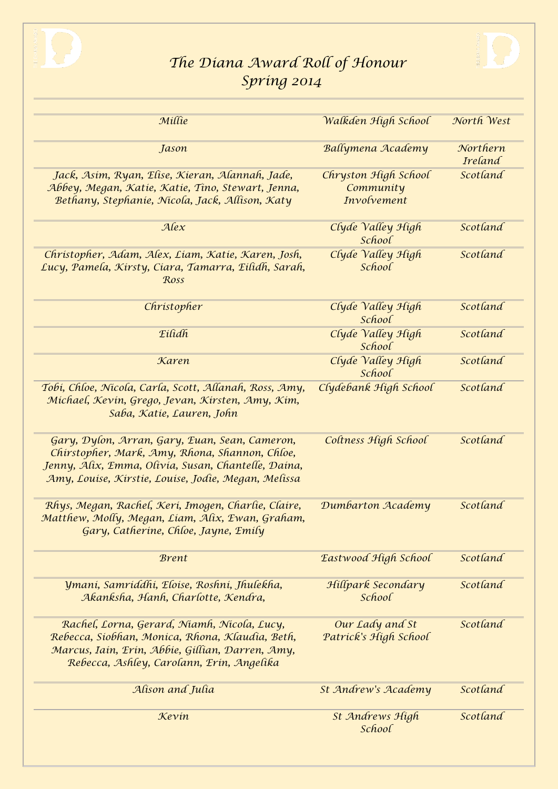



| Millie                                                                                                                                                                                                         | Walkden High School                              | North West                 |
|----------------------------------------------------------------------------------------------------------------------------------------------------------------------------------------------------------------|--------------------------------------------------|----------------------------|
| Jason                                                                                                                                                                                                          | Ballymena Academy                                | Northern<br><b>Ireland</b> |
| Jack, Asim, Ryan, Elise, Kieran, Alannah, Jade,<br>Abbey, Megan, Katie, Katie, Tino, Stewart, Jenna,<br>Bethany, Stephanie, Nicola, Jack, Allison, Katy                                                        | Chryston High School<br>Community<br>Involvement | Scotland                   |
| Alex                                                                                                                                                                                                           | Clyde Valley High<br>School                      | Scotland                   |
| Christopher, Adam, Alex, Liam, Katie, Karen, Josh,<br>Lucy, Pamela, Kirsty, Ciara, Tamarra, Eilidh, Sarah,<br>Ross                                                                                             | Clyde Valley High<br>School                      | Scotland                   |
| Christopher                                                                                                                                                                                                    | Clyde Valley High<br>School                      | Scotland                   |
| Eilidh                                                                                                                                                                                                         | Clyde Valley High<br>School                      | Scotland                   |
| Karen                                                                                                                                                                                                          | Clyde Valley High<br>School                      | Scotland                   |
| Tobi, Chloe, Nicola, Carla, Scott, Allanah, Ross, Amy,<br>Michael, Kevin, Grego, Jevan, Kirsten, Amy, Kim,<br>Saba, Katie, Lauren, John                                                                        | Clydebank High School                            | Scotland                   |
| Gary, Dylon, Arran, Gary, Euan, Sean, Cameron,<br>Chirstopher, Mark, Amy, Rhona, Shannon, Chloe,<br>Jenny, Alix, Emma, Olivia, Susan, Chantelle, Daina,<br>Amy, Louise, Kirstie, Louise, Jodie, Megan, Melissa | Coltness High School                             | Scotland                   |
| Rhys, Megan, Rachel, Keri, Imogen, Charlie, Claire,<br>Matthew, Molly, Megan, Liam, Alix, Ewan, Graham,<br>Gary, Catherine, Chloe, Jayne, Emily                                                                | Dumbarton Academy                                | Scotland                   |
| <b>Brent</b>                                                                                                                                                                                                   | Eastwood High School                             | Scotland                   |
| Ymani, Samriddhi, Eloise, Roshni, Jhulekha,<br>Akanksha, Hanh, Charlotte, Kendra,                                                                                                                              | Hillpark Secondary<br>School                     | Scotland                   |
| Rachel, Lorna, Gerard, Niamh, Nicola, Lucy,<br>Rebecca, Siobhan, Monica, Rhona, Klaudia, Beth,<br>Marcus, Iain, Erin, Abbie, Gillian, Darren, Amy,<br>Rebecca, Ashley, Carolann, Erin, Angelika                | Our Lady and St<br>Patrick's High School         | Scotland                   |
| Alison and Julia                                                                                                                                                                                               | St Andrew's Academy                              | Scotland                   |
| Kevin                                                                                                                                                                                                          | St Andrews High<br>School                        | Scotland                   |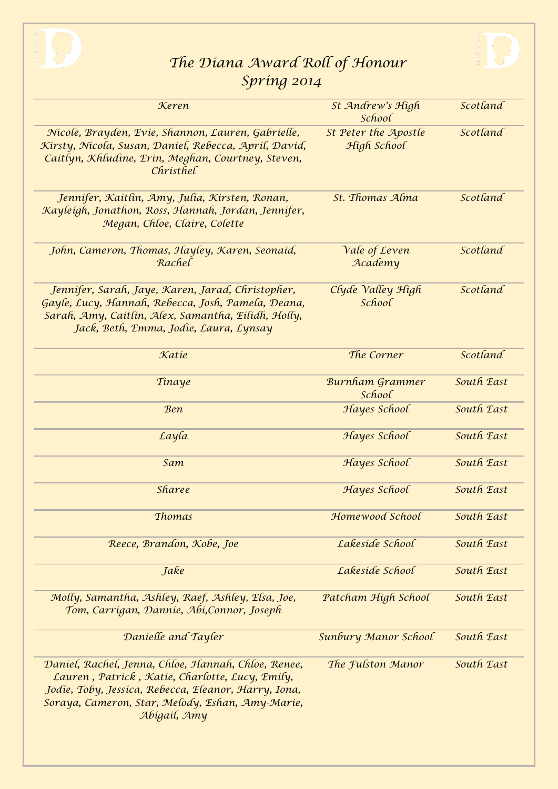



| Keren                                                                                                                                                                                                                              | St Andrew's High<br>School          | Scotland   |
|------------------------------------------------------------------------------------------------------------------------------------------------------------------------------------------------------------------------------------|-------------------------------------|------------|
| Nicole, Brayden, Evie, Shannon, Lauren, Gabrielle,<br>Kirsty, Nicola, Susan, Daniel, Rebecca, April, David,<br>Caitlyn, Khludine, Erin, Meghan, Courtney, Steven,<br>Christhel                                                     | St Peter the Apostle<br>High School | Scotland   |
| Jennifer, Kaitlin, Amy, Julia, Kirsten, Ronan,<br>Kayleigh, Jonathon, Ross, Hannah, Jordan, Jennifer,<br>Megan, Chloe, Claire, Colette                                                                                             | St. Thomas Alma                     | Scotland   |
| John, Cameron, Thomas, Hayley, Karen, Seonaid,<br>Rachel                                                                                                                                                                           | Vale of Leven<br>Academy            | Scotland   |
| Jennifer, Sarah, Jaye, Karen, Jarad, Christopher,<br>Gayle, Lucy, Hannah, Rebecca, Josh, Pamela, Deana,<br>Sarah, Amy, Caitlin, Alex, Samantha, Eilidh, Holly,<br>Jack, Beth, Emma, Jodie, Laura, Lynsay                           | Clyde Valley High<br>School         | Scotland   |
| Katie                                                                                                                                                                                                                              | The Corner                          | Scotland   |
| Tinaye                                                                                                                                                                                                                             | <b>Burnham Grammer</b><br>School    | South East |
| <b>Ben</b>                                                                                                                                                                                                                         | Hayes School                        | South East |
| Layla                                                                                                                                                                                                                              | Hayes School                        | South East |
| Sam                                                                                                                                                                                                                                | Hayes School                        | South East |
| <b>Sharee</b>                                                                                                                                                                                                                      | Hayes School                        | South East |
| Thomas                                                                                                                                                                                                                             | Homewood School                     | South East |
| Reece, Brandon, Kobe, Joe                                                                                                                                                                                                          | Lakeside School                     | South East |
| Jake                                                                                                                                                                                                                               | Lakeside School                     | South East |
| Molly, Samantha, Ashley, Raef, Ashley, Elsa, Joe,<br>Tom, Carrigan, Dannie, Abi, Connor, Joseph                                                                                                                                    | Patcham High School                 | South East |
| Danielle and Tayler                                                                                                                                                                                                                | Sunbury Manor School                | South East |
| Daniel, Rachel, Jenna, Chloe, Hannah, Chloe, Renee,<br>Lauren, Patrick, Katie, Charlotte, Lucy, Emily,<br>Jodie, Toby, Jessica, Rebecca, Eleanor, Harry, Iona,<br>Soraya, Cameron, Star, Melody, Eshan, Amy-Marie,<br>Abigail, Amy | The Fulston Manor                   | South East |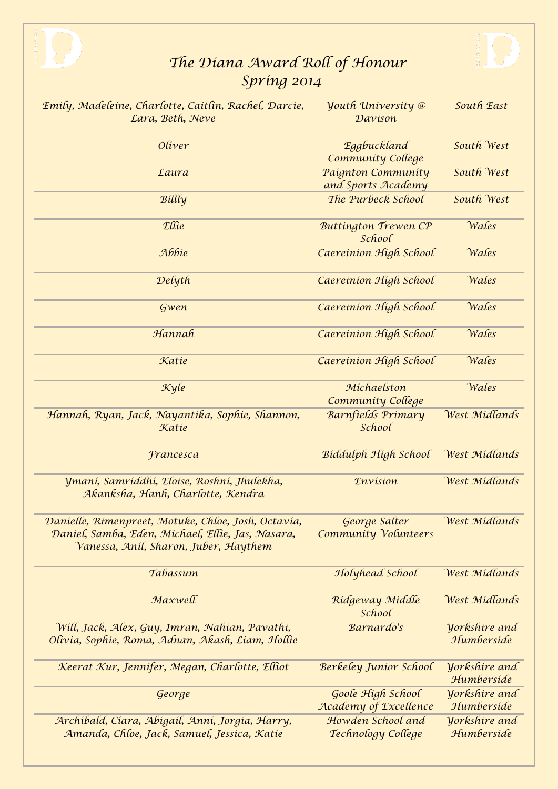



| Emily, Madeleine, Charlotte, Caitlin, Rachel, Darcie,<br>Lara, Beth, Neve                                                                         | <b><i>Youth University</i></b> @<br>Davison  | South East                                |
|---------------------------------------------------------------------------------------------------------------------------------------------------|----------------------------------------------|-------------------------------------------|
| Oliver                                                                                                                                            | Eggbuckland<br>Community College             | South West                                |
| Laura                                                                                                                                             | Paignton Community<br>and Sports Academy     | South West                                |
| Billly                                                                                                                                            | The Purbeck School                           | South West                                |
| Ellie                                                                                                                                             | <b>Buttington Trewen CP</b><br>School        | Wales                                     |
| Abbie                                                                                                                                             | Caereinion High School                       | Wales                                     |
| Delyth                                                                                                                                            | Caereinion High School                       | Wales                                     |
| Gwen                                                                                                                                              | Caereinion High School                       | Wales                                     |
| Hannah                                                                                                                                            | Caereinion High School                       | Wales                                     |
| Katie                                                                                                                                             | Caereinion High School                       | Wales                                     |
| $\mathcal{K}$ yle                                                                                                                                 | Michaelston<br>Community College             | Wales                                     |
| Hannah, Ryan, Jack, Nayantika, Sophie, Shannon,                                                                                                   | Barnfields Primary                           | West Midlands                             |
| Katie                                                                                                                                             | School                                       |                                           |
| Francesca                                                                                                                                         | Biddulph High School                         | West Midlands                             |
| Ymaní, Samríddhí, Eloise, Roshní, Jhulekha,<br>Akanksha, Hanh, Charlotte, Kendra                                                                  | <b><i>Envision</i></b>                       | West Midlands                             |
| Danielle, Rimenpreet, Motuke, Chloe, Josh, Octavia,<br>Daniel, Samba, Eden, Michael, Ellie, Jas, Nasara,<br>Vanessa, Aníl, Sharon, Juber, Haythem | George Salter<br><b>Community Volunteers</b> | West Midlands                             |
| Tabassum                                                                                                                                          | Holyhead School                              | West Midlands                             |
| Maxwell                                                                                                                                           | Ridgeway Middle<br>School                    | West Midlands                             |
| Will, Jack, Alex, Guy, Imran, Nahian, Pavathi,<br>Olivia, Sophie, Roma, Adnan, Akash, Liam, Hollie                                                | Barnardo's                                   | Yorkshire and<br>Humberside               |
| Keerat Kur, Jennifer, Megan, Charlotte, Elliot                                                                                                    | <b>Berkeley Junior School</b>                | Yorkshire and<br>Humberside               |
| George                                                                                                                                            | Goole High School<br>Academy of Excellence   | <b><i>Yorkshire and</i></b><br>Humberside |
| Archibald, Ciara, Abigail, Anni, Jorgia, Harry,<br>Amanda, Chloe, Jack, Samuel, Jessica, Katie                                                    | Howden School and<br>Technology College      | <b>Yorkshire</b> and<br>Humberside        |
|                                                                                                                                                   |                                              |                                           |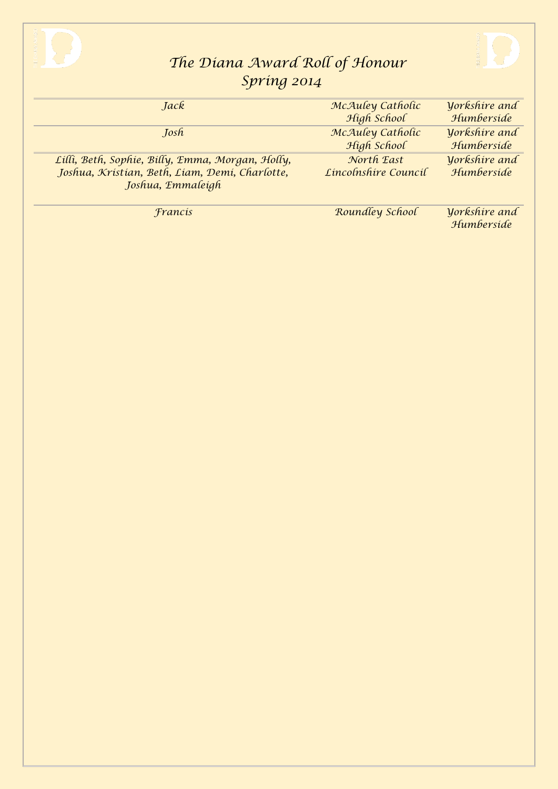



| Jack                                             | McAuley Catholic     | <b>Yorkshire</b> and               |
|--------------------------------------------------|----------------------|------------------------------------|
|                                                  | High School          | Humberside                         |
| Josh                                             | McAuley Catholic     | <b>Yorkshire</b> and               |
|                                                  | High School          | Humberside                         |
| Lilli, Beth, Sophie, Billy, Emma, Morgan, Holly, | North East           | Vorkshire and                      |
| Joshua, Kristian, Beth, Liam, Demi, Charlotte,   | Lincolnshire Council | Humberside                         |
| Joshua, Emmaleigh                                |                      |                                    |
|                                                  |                      |                                    |
| Francis                                          | Roundley School      | <b>Yorkshire</b> and<br>Humberside |